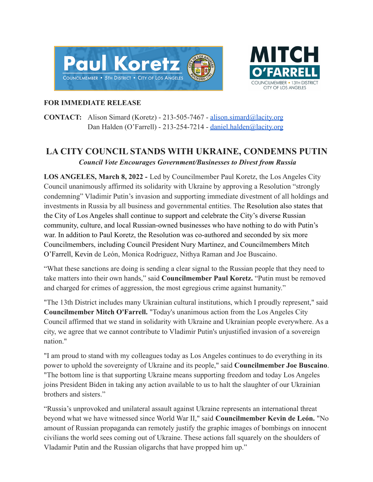



## **FOR IMMEDIATE RELEASE**

**CONTACT:** Alison Simard (Koretz) - 213-505-7467 - [alison.simard@lacity.org](mailto:alison.simard@lacity.org) Dan Halden (O'Farrell) - 213-254-7214 - [daniel.halden@lacity.org](mailto:daniel.halden@lacity.org)

## **LA CITY COUNCIL STANDS WITH UKRAINE, CONDEMNS PUTIN** *Council Vote Encourages Government/Businesses to Divest from Russia*

**LOS ANGELES, March 8, 2022 -** Led by Councilmember Paul Koretz, the Los Angeles City Council unanimously affirmed its solidarity with Ukraine by approving a Resolution "strongly condemning" Vladimir Putin's invasion and supporting immediate divestment of all holdings and investments in Russia by all business and governmental entities. The Resolution also states that the City of Los Angeles shall continue to support and celebrate the City's diverse Russian community, culture, and local Russian-owned businesses who have nothing to do with Putin's war. In addition to Paul Koretz, the Resolution was co-authored and seconded by six more Councilmembers, including Council President Nury Martinez, and Councilmembers Mitch O'Farrell, Kevin de León, Monica Rodriguez, Nithya Raman and Joe Buscaino.

"What these sanctions are doing is sending a clear signal to the Russian people that they need to take matters into their own hands," said **Councilmember Paul Koretz.** "Putin must be removed and charged for crimes of aggression, the most egregious crime against humanity."

"The 13th District includes many Ukrainian cultural institutions, which I proudly represent," said **Councilmember Mitch O'Farrell.** "Today's unanimous action from the Los Angeles City Council affirmed that we stand in solidarity with Ukraine and Ukrainian people everywhere. As a city, we agree that we cannot contribute to Vladimir Putin's unjustified invasion of a sovereign nation."

"I am proud to stand with my colleagues today as Los Angeles continues to do everything in its power to uphold the sovereignty of Ukraine and its people," said **Councilmember Joe Buscaino**. "The bottom line is that supporting Ukraine means supporting freedom and today Los Angeles joins President Biden in taking any action available to us to halt the slaughter of our Ukrainian brothers and sisters."

"Russia's unprovoked and unilateral assault against Ukraine represents an international threat beyond what we have witnessed since World War II," said **Councilmember Kevin de León.** "No amount of Russian propaganda can remotely justify the graphic images of bombings on innocent civilians the world sees coming out of Ukraine. These actions fall squarely on the shoulders of Vladamir Putin and the Russian oligarchs that have propped him up."